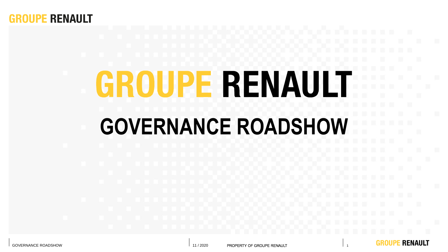

# **GROUPE RENAULT GOVERNANCE ROADSHOW**

**E RENAULT**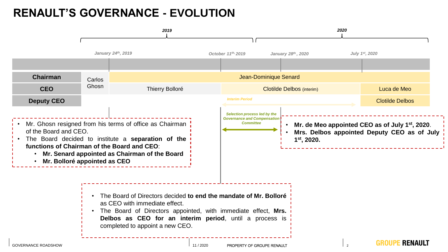## **RENAULT'S GOVERNANCE - EVOLUTION**

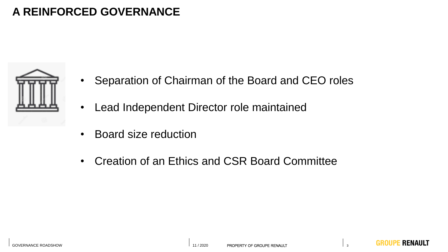## **A REINFORCED GOVERNANCE**



- Separation of Chairman of the Board and CEO roles
- Lead Independent Director role maintained
- Board size reduction
- Creation of an Ethics and CSR Board Committee

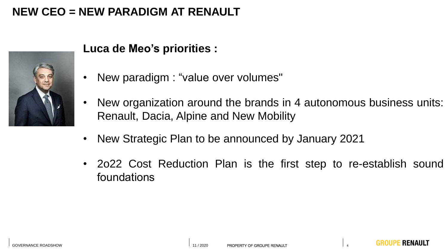## **NEW CEO = NEW PARADIGM AT RENAULT**



## **Luca de Meo's priorities :**

- New paradigm : "value over volumes"
- New organization around the brands in 4 autonomous business units: Renault, Dacia, Alpine and New Mobility
- New Strategic Plan to be announced by January 2021
- 2o22 Cost Reduction Plan is the first step to re-establish sound foundations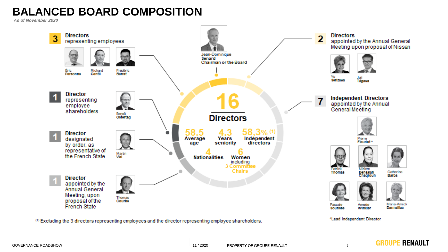## **BALANCED BOARD COMPOSITION**

*As of November 2020*



<sup>(1)</sup> Excluding the 3 directors representing employees and the director representing employee shareholders.

\*Lead Independent Director



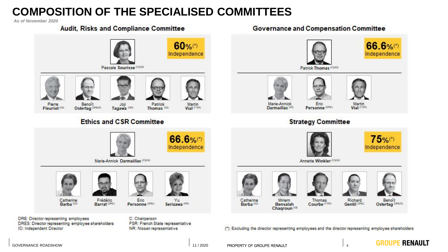## **COMPOSITION OF THE SPECIALISED COMMITTEES**

*As of November 2020*



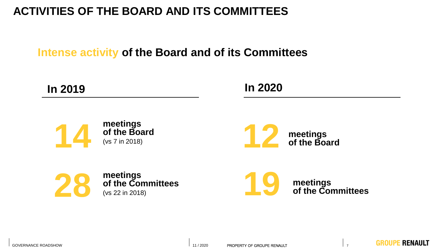# **Activities of the Board and of its Committees in 2019 ACTIVITIES OF THE BOARD AND ITS COMMITTEES**

**Intense activity of the Board and of its Committees**





**meetings of the Board** (vs 7 in 2018)







**meetings of the Committees**

**19**

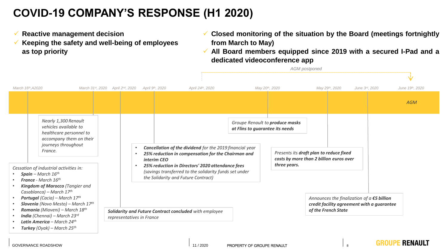## **COVID-19 COMPANY'S RESPONSE (H1 2020)**

- ✓ **Reactive management decision**
- ✓ **Keeping the safety and well-being of employees as top priority**
- ✓ **Closed monitoring of the situation by the Board (meetings fortnightly from March to May)**
- ✓ **All Board members equipped since 2019 with a secured I-Pad and a dedicated videoconference app**

*AGM postponed*

| March 16th, A2020                                                                                                                                         | March 31st, 2020 April 2nd, 2020 April 9th, 2020                                    | April 24th, 2020                                                                                                                                  |                                 | May 20th, 2020                  | May 29th, 2020                                                                     | June 3rd, 2020                                                                                | June 19th, 2020 |
|-----------------------------------------------------------------------------------------------------------------------------------------------------------|-------------------------------------------------------------------------------------|---------------------------------------------------------------------------------------------------------------------------------------------------|---------------------------------|---------------------------------|------------------------------------------------------------------------------------|-----------------------------------------------------------------------------------------------|-----------------|
|                                                                                                                                                           |                                                                                     |                                                                                                                                                   |                                 |                                 |                                                                                    |                                                                                               | <b>AGM</b>      |
| Nearly 1,300 Renault<br>vehicles available to<br>healthcare personnel to<br>accompany them on their<br>journeys throughout<br>France.                     |                                                                                     |                                                                                                                                                   | at Flins to guarantee its needs | Groupe Renault to produce masks |                                                                                    |                                                                                               |                 |
|                                                                                                                                                           | interim CEO                                                                         | Cancellation of the dividend for the 2019 financial year<br>25% reduction in compensation for the Chairman and                                    |                                 |                                 | Presents its draft plan to reduce fixed<br>costs by more than 2 billion euros over |                                                                                               |                 |
| Cessation of industrial activities in:<br>Spain - March $16^{th}$<br><b>France</b> - March $16th$                                                         |                                                                                     | 25% reduction in Directors' 2020 attendance fees<br>(savings transferred to the solidarity funds set under<br>the Solidarity and Future Contract) |                                 | three years.                    |                                                                                    |                                                                                               |                 |
| Kingdom of Marocco (Tangier and<br>Casablanca) – March $17^{th}$<br><b>Portugal</b> (Cacia) – March $17th$<br><b>Slovenia</b> (Novo Mesto) – March $17th$ |                                                                                     |                                                                                                                                                   |                                 |                                 |                                                                                    | Announces the finalization of $a \in S$ billion<br>credit facility agreement with a guarantee |                 |
| Romania (Mioveni) - March 18th<br><b>India</b> (Chennai) – March 23rd<br>Latin America – March 24th<br><b>Turkey</b> (Oyak) – March 25 <sup>th</sup>      | Solidarity and Future Contract concluded with employee<br>representatives in France |                                                                                                                                                   |                                 |                                 | of the French State                                                                |                                                                                               |                 |